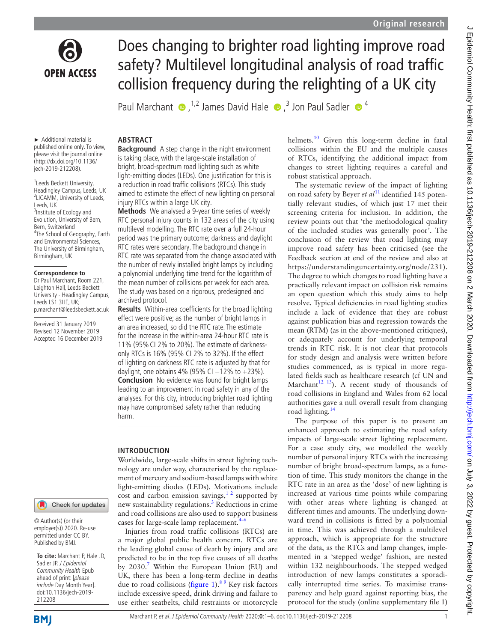

Does changing to brighter road lighting improve road safety? Multilevel longitudinal analysis of road traffic collision frequency during the relighting of a UK city

PaulMarchant  $\bullet$ ,<sup>1,2</sup> James David Hale  $\bullet$ ,<sup>3</sup> Jon Paul Sadler  $\bullet$ <sup>4</sup>

#### ► Additional material is published online only. To view, please visit the journal online (http://dx.doi.org/10.1136/ jech-2019-212208).

<sup>1</sup> Leeds Beckett University, Headingley Campus, Leeds, UK 2 LICAMM, University of Leeds, Leeds, UK <sup>3</sup> Institute of Ecology and Evolution, University of Bern, Bern, Switzerland <sup>4</sup>The School of Geography, Earth and Environmental Sciences, The University of Birmingham, Birmingham, UK

## **Correspondence to**

Dr Paul Marchant, Room 221, Leighton Hall, Leeds Beckett University - Headingley Campus, Leeds LS1 3HE, UK; p.marchant@leedsbeckett.ac.uk

Received 31 January 2019 Revised 12 November 2019 Accepted 16 December 2019

# Check for updates

© Author(s) (or their employer(s)) 2020. Re-use permitted under CC BY. Published by BMJ.

**To cite:** Marchant P, Hale JD, Sadler JP. J Epidemiol Community Health Epub ahead of print: [please include Day Month Year]. doi:10.1136/jech-2019- 212208

#### Marchant P, et al. J Epidemiol Community Health 2020;**0**:1–6. doi:10.1136/jech-2019-212208 1

# **Abstract**

**Background** A step change in the night environment is taking place, with the large-scale installation of bright, broad-spectrum road lighting such as white light-emitting diodes (LEDs). One justification for this is a reduction in road traffic collisions (RTCs). This study aimed to estimate the effect of new lighting on personal injury RTCs within a large UK city.

**Methods** We analysed a 9-year time series of weekly RTC personal injury counts in 132 areas of the city using multilevel modelling. The RTC rate over a full 24-hour period was the primary outcome; darkness and daylight RTC rates were secondary. The background change in RTC rate was separated from the change associated with the number of newly installed bright lamps by including a polynomial underlying time trend for the logarithm of the mean number of collisions per week for each area. The study was based on a rigorous, predesigned and archived protocol.

**Results** Within-area coefficients for the broad lighting effect were positive; as the number of bright lamps in an area increased, so did the RTC rate. The estimate for the increase in the within-area 24-hour RTC rate is 11% (95%CI 2% to 20%). The estimate of darknessonly RTCs is 16% (95% CI 2% to 32%). If the effect of lighting on darkness RTC rate is adjusted by that for daylight, one obtains 4% (95% CI  $-12$ % to  $+23$ %). **Conclusion** No evidence was found for bright lamps leading to an improvement in road safety in any of the analyses. For this city, introducing brighter road lighting may have compromised safety rather than reducing harm.

## **Introduction**

Worldwide, large-scale shifts in street lighting technology are under way, characterised by the replacement of mercury and sodium-based lamps with white light-emitting diodes (LEDs). Motivations include cost and carbon emission savings,<sup>12</sup> supported by new sustainability regulations.<sup>[3](#page-5-1)</sup> Reductions in crime and road collisions are also used to support business cases for large-scale lamp replacement.<sup>4</sup>

Injuries from road traffic collisions (RTCs) are a major global public health concern. RTCs are the leading global cause of death by injury and are predicted to be in the top five causes of all deaths by 2030.<sup>[7](#page-5-3)</sup> Within the European Union (EU) and UK, there has been a long-term decline in deaths due to road collisions [\(figure](#page-1-0) 1). $89$  Key risk factors include excessive speed, drink driving and failure to use either seatbelts, child restraints or motorcycle

helmets.<sup>[10](#page-5-5)</sup> Given this long-term decline in fatal collisions within the EU and the multiple causes of RTCs, identifying the additional impact from changes to street lighting requires a careful and robust statistical approach.

The systematic review of the impact of lighting on road safety by Beyer *et al*<sup>11</sup> identified 145 potentially relevant studies, of which just 17 met their screening criteria for inclusion. In addition, the review points out that 'the methodological quality of the included studies was generally poor'. The conclusion of the review that road lighting may improve road safety has been criticised (see the Feedback section at end of the review and also at [https://understandinguncertainty.org/node/231\)](https://understandinguncertainty.org/node/231). The degree to which changes to road lighting have a practically relevant impact on collision risk remains an open question which this study aims to help resolve. Typical deficiencies in road lighting studies include a lack of evidence that they are robust against publication bias and regression towards the mean (RTM) (as in the above-mentioned critiques), or adequately account for underlying temporal trends in RTC risk. It is not clear that protocols for study design and analysis were written before studies commenced, as is typical in more regulated fields such as healthcare research (cf UN and Marchant<sup>12 13</sup>). A recent study of thousands of road collisions in England and Wales from 62 local authorities gave a null overall result from changing road lighting.[14](#page-5-8)

The purpose of this paper is to present an enhanced approach to estimating the road safety impacts of large-scale street lighting replacement. For a case study city, we modelled the weekly number of personal injury RTCs with the increasing number of bright broad-spectrum lamps, as a function of time. This study monitors the change in the RTC rate in an area as the 'dose' of new lighting is increased at various time points while comparing with other areas where lighting is changed at different times and amounts. The underlying downward trend in collisions is fitted by a polynomial in time. This was achieved through a multilevel approach, which is appropriate for the structure of the data, as the RTCs and lamp changes, implemented in a 'stepped wedge' fashion, are nested within 132 neighbourhoods. The stepped wedged introduction of new lamps constitutes a sporadically interrupted time series. To maximise transparency and help guard against reporting bias, the protocol for the study [\(online supplementary file 1](https://dx.doi.org/10.1136/jech-2019-212208))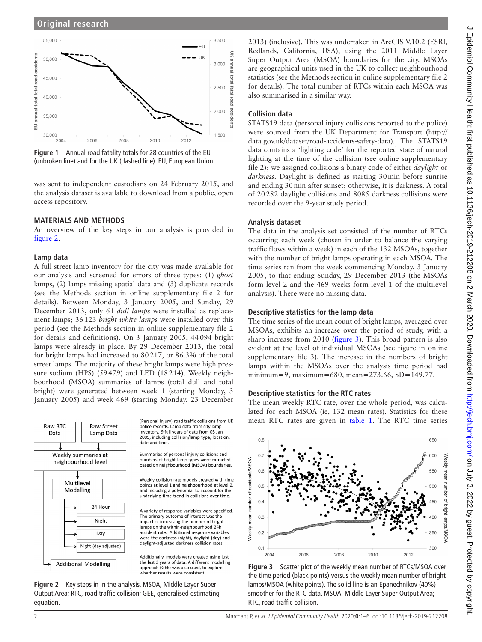

<span id="page-1-0"></span>**Figure 1** Annual road fatality totals for 28 countries of the EU (unbroken line) and for the UK (dashed line). EU, European Union.

was sent to independent custodians on 24 February 2015, and the analysis dataset is available to download from a public, open access repository.

### **Materials and methods**

An overview of the key steps in our analysis is provided in [figure](#page-1-1) 2.

#### **Lamp data**

A full street lamp inventory for the city was made available for our analysis and screened for errors of three types: (1) *ghost* lamps, (2) lamps missing spatial data and (3) duplicate records (see the Methods section in [online supplementary file 2](https://dx.doi.org/10.1136/jech-2019-212208) for details). Between Monday, 3 January 2005, and Sunday, 29 December 2013, only 61 *dull lamps* were installed as replacement lamps; 36123 *bright white lamps* were installed over this period (see the Methods section in [online supplementary file 2](https://dx.doi.org/10.1136/jech-2019-212208)  for details and definitions). On 3 January 2005, 44094 bright lamps were already in place. By 29 December 2013, the total for bright lamps had increased to 80217, or 86.3% of the total street lamps. The majority of these bright lamps were high pressure sodium (HPS) (59479) and LED (18214). Weekly neighbourhood (MSOA) summaries of lamps (total dull and total bright) were generated between week 1 (starting Monday, 3 January 2005) and week 469 (starting Monday, 23 December



<span id="page-1-1"></span>**Figure 2** Key steps in in the analysis. MSOA, Middle Layer Super Output Area; RTC, road traffic collision; GEE, generalised estimating equation.

2013) (inclusive). This was undertaken in ArcGIS V.10.2 (ESRI, Redlands, California, USA), using the 2011 Middle Layer Super Output Area (MSOA) boundaries for the city. MSOAs are geographical units used in the UK to collect neighbourhood statistics (see the Methods section in [online supplementary file 2](https://dx.doi.org/10.1136/jech-2019-212208) for details). The total number of RTCs within each MSOA was also summarised in a similar way.

## **Collision data**

STATS19 data (personal injury collisions reported to the police) were sourced from the UK Department for Transport [\(http://](http://data.gov.uk/dataset/road-accidents-safety-data) [data.gov.uk/dataset/road-accidents-safety-data\)](http://data.gov.uk/dataset/road-accidents-safety-data). The STATS19 data contains a 'lighting code' for the reported state of natural lighting at the time of the collision (see [online supplementary](https://dx.doi.org/10.1136/jech-2019-212208) [file 2](https://dx.doi.org/10.1136/jech-2019-212208)); we assigned collisions a binary code of either *daylight* or *darkness*. Daylight is defined as starting 30min before sunrise and ending 30min after sunset; otherwise, it is darkness. A total of 20282 daylight collisions and 8085 darkness collisions were recorded over the 9-year study period.

### **Analysis dataset**

The data in the analysis set consisted of the number of RTCs occurring each week (chosen in order to balance the varying traffic flows within a week) in each of the 132 MSOAs, together with the number of bright lamps operating in each MSOA. The time series ran from the week commencing Monday, 3 January 2005, to that ending Sunday, 29 December 2013 (the MSOAs form level 2 and the 469 weeks form level 1 of the multilevel analysis). There were no missing data.

### **Descriptive statistics for the lamp data**

The time series of the mean count of bright lamps, averaged over MSOAs, exhibits an increase over the period of study, with a sharp increase from 2010 [\(figure](#page-1-2) 3). This broad pattern is also evident at the level of individual MSOAs (see figure in [online](https://dx.doi.org/10.1136/jech-2019-212208) [supplementary file 3\)](https://dx.doi.org/10.1136/jech-2019-212208). The increase in the numbers of bright lamps within the MSOAs over the analysis time period had minimum=9, maximum=680, mean=273.66, SD=149.77.

## **Descriptive statistics for the RTC rates**

The mean weekly RTC rate, over the whole period, was calculated for each MSOA (ie, 132 mean rates). Statistics for these mean RTC rates are given in [table](#page-2-0) 1. The RTC time series



<span id="page-1-2"></span>**Figure 3** Scatter plot of the weekly mean number of RTCs/MSOA over the time period (black points) versus the weekly mean number of bright lamps/MSOA (white points). The solid line is an Epanechnikov (40%) smoother for the RTC data. MSOA, Middle Layer Super Output Area; RTC, road traffic collision.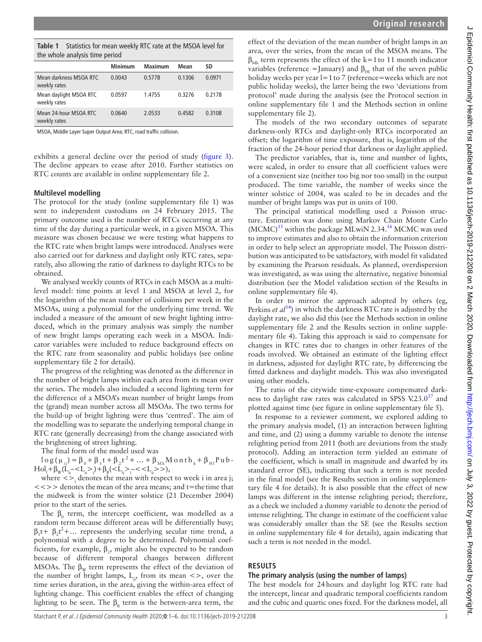<span id="page-2-0"></span>

| <b>Table 1</b> Statistics for mean weekly RTC rate at the MSOA level for |
|--------------------------------------------------------------------------|
| the whole analysis time period                                           |

| the whole analysis three period        |                |                |        |        |  |  |  |
|----------------------------------------|----------------|----------------|--------|--------|--|--|--|
|                                        | <b>Minimum</b> | <b>Maximum</b> | Mean   | SD     |  |  |  |
| Mean darkness MSOA RTC<br>weekly rates | 0.0043         | 0.5778         | 0.1306 | 0.0971 |  |  |  |
| Mean daylight MSOA RTC<br>weekly rates | 0.0597         | 1.4755         | 0.3276 | 0.2178 |  |  |  |
| Mean 24-hour MSOA RTC<br>weekly rates  | 0.0640         | 2.0533         | 0.4582 | 0.3108 |  |  |  |

MSOA, Middle Layer Super Output Area; RTC, road traffic collision.

exhibits a general decline over the period of study ([figure](#page-1-2) 3). The decline appears to cease after 2010. Further statistics on RTC counts are available in [online supplementary file 2](https://dx.doi.org/10.1136/jech-2019-212208).

#### **Multilevel modelling**

The protocol for the study [\(online supplementary file 1](https://dx.doi.org/10.1136/jech-2019-212208)) was sent to independent custodians on 24 February 2015. The primary outcome used is the number of RTCs occurring at any time of the day during a particular week, in a given MSOA. This measure was chosen because we were testing what happens to the RTC rate when bright lamps were introduced. Analyses were also carried out for darkness and daylight only RTC rates, separately, also allowing the ratio of darkness to daylight RTCs to be obtained.

We analysed weekly counts of RTCs in each MSOA as a multilevel model: time points at level 1 and MSOA at level 2, for the logarithm of the mean number of collisions per week in the MSOAs, using a polynomial for the underlying time trend. We included a measure of the amount of new bright lighting introduced, which in the primary analysis was simply the number of new bright lamps operating each week in a MSOA. Indicator variables were included to reduce background effects on the RTC rate from seasonality and public holidays (see [online](https://dx.doi.org/10.1136/jech-2019-212208)  [supplementary file 2](https://dx.doi.org/10.1136/jech-2019-212208) for details).

The progress of the relighting was denoted as the difference in the number of bright lamps within each area from its mean over the series. The models also included a second lighting term for the difference of a MSOA's mean number of bright lamps from the (grand) mean number across all MSOAs. The two terms for the build-up of bright lighting were thus 'centred'. The aim of the modelling was to separate the underlying temporal change in RTC rate (generally decreasing) from the change associated with the brightening of street lighting.

The final form of the model used was

 $\log(\mu_{ii}) = \beta_0 + \beta_1 t + \beta_2 t^2 + ... + \beta_{Mk} M$  on th<sub>k</sub> +  $\beta_{H}$  Pub - $\text{Hol}_1 + \beta_{\text{w}} (\dot{L}_{ij} -  j) + \beta_{\text{B}} ( j - < L_{ij} > k),$ 

where  $\langle \rangle$  denotes the mean with respect to week i in area j; <<>> denotes themean of the area means; and t=the time that the midweek is from the winter solstice (21 December 2004) prior to the start of the series.

The  $\beta_0$  term, the intercept coefficient, was modelled as a random term because different areas will be differentially busy;  $\beta_1 t + \beta_2 t^2 + ...$  represents the underlying secular time trend, a polynomial with a degree to be determined. Polynomial coefficients, for example,  $\beta_1$ , might also be expected to be random because of different temporal changes between different MSOAs. The  $\beta_{\rm w}$  term represents the effect of the deviation of the number of bright lamps,  $L_{ii}$ , from its mean  $\langle \rangle$ , over the time series duration, in the area, giving the within-area effect of lighting change. This coefficient enables the effect of changing lighting to be seen. The  $\beta_{\rm B}$  term is the between-area term, the

effect of the deviation of the mean number of bright lamps in an area, over the series, from the mean of the MSOA means. The  $\beta_{Mk}$  term represents the effect of the k=1 to 11 month indicator variables (reference = January) and  $\beta_{\text{H}}$  that of the seven public holiday weeks per year l=1 to 7 (reference=weeks which are not public holiday weeks), the latter being the two 'deviations from protocol' made during the analysis (see the Protocol section in [online supplementary file 1](https://dx.doi.org/10.1136/jech-2019-212208) and the Methods section in [online](https://dx.doi.org/10.1136/jech-2019-212208) [supplementary file 2](https://dx.doi.org/10.1136/jech-2019-212208)).

The models of the two secondary outcomes of separate darkness-only RTCs and daylight-only RTCs incorporated an offset; the logarithm of time exposure, that is, logarithm of the fraction of the 24-hour period that darkness or daylight applied.

The predictor variables, that is, time and number of lights, were scaled, in order to ensure that all coefficient values were of a convenient size (neither too big nor too small) in the output produced. The time variable, the number of weeks since the winter solstice of 2004, was scaled to be in decades and the number of bright lamps was put in units of 100.

The principal statistical modelling used a Poisson structure. Estimation was done using Markov Chain Monte Carlo  $(MCMC)^{15}$  within the package MLwiN 2.34.<sup>16</sup> MCMC was used to improve estimates and also to obtain the information criterion in order to help select an appropriate model. The Poisson distribution was anticipated to be satisfactory, with model fit validated by examining the Pearson residuals. As planned, overdispersion was investigated, as was using the alternative, negative binomial distribution (see the Model validation section of the Results in [online supplementary file 4](https://dx.doi.org/10.1136/jech-2019-212208)).

In order to mirror the approach adopted by others (eg, Perkins *et al*[14\)](#page-5-8) in which the darkness RTC rate is adjusted by the daylight rate, we also did this (see the Methods section in [online](https://dx.doi.org/10.1136/jech-2019-212208) [supplementary file 2](https://dx.doi.org/10.1136/jech-2019-212208) and the Results section in [online supple](https://dx.doi.org/10.1136/jech-2019-212208)[mentary file 4\)](https://dx.doi.org/10.1136/jech-2019-212208). Taking this approach is said to compensate for changes in RTC rates due to changes in other features of the roads involved. We obtained an estimate of the lighting effect in darkness, adjusted for daylight RTC rate, by differencing the fitted darkness and daylight models. This was also investigated using other models.

The ratio of the citywide time-exposure compensated darkness to daylight raw rates was calculated in SPSS V.23.0 $17$  and plotted against time (see figure in [online supplementary file 5](https://dx.doi.org/10.1136/jech-2019-212208)).

In response to a reviewer comment, we explored adding to the primary analysis model, (1) an interaction between lighting and time, and (2) using a dummy variable to denote the intense relighting period from 2011 (both are deviations from the study protocol). Adding an interaction term yielded an estimate of the coefficient, which is small in magnitude and dwarfed by its standard error (SE), indicating that such a term is not needed in the final model (see the Results section in [online supplemen](https://dx.doi.org/10.1136/jech-2019-212208)[tary file 4](https://dx.doi.org/10.1136/jech-2019-212208) for details). It is also possible that the effect of new lamps was different in the intense relighting period; therefore, as a check we included a dummy variable to denote the period of intense relighting. The change in estimate of the coefficient value was considerably smaller than the SE (see the Results section in [online supplementary file 4](https://dx.doi.org/10.1136/jech-2019-212208) for details), again indicating that such a term is not needed in the model.

#### **Results**

#### **The primary analysis (using the number of lamps)**

The best models for 24hours and daylight log RTC rate had the intercept, linear and quadratic temporal coefficients random and the cubic and quartic ones fixed. For the darkness model, all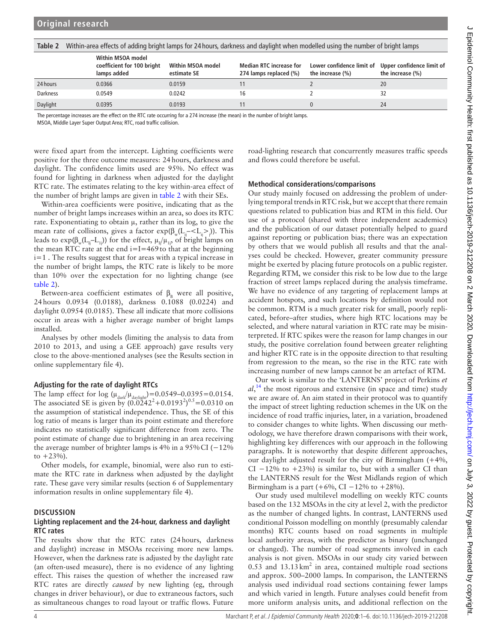<span id="page-3-0"></span>**Table 2** Within-area effects of adding bright lamps for 24 hours, darkness and daylight when modelled using the number of bright lamps

|                 | Within MSOA model<br>coefficient for 100 bright<br>lamps added | Within MSOA model<br>estimate SE | <b>Median RTC increase for</b><br>274 lamps replaced (%) | Lower confidence limit of<br>the increase (%) | Upper confidence limit of<br>the increase $(\%)$ |
|-----------------|----------------------------------------------------------------|----------------------------------|----------------------------------------------------------|-----------------------------------------------|--------------------------------------------------|
| 24 hours        | 0.0366                                                         | 0.0159                           |                                                          |                                               | 20                                               |
| <b>Darkness</b> | 0.0549                                                         | 0.0242                           |                                                          |                                               |                                                  |
| Daylight        | 0.0395                                                         | 0.0193                           |                                                          |                                               | 24                                               |

The percentage increases are the effect on the RTC rate occurring for a 274 increase (the mean) in the number of bright lamps.

MSOA, Middle Layer Super Output Area; RTC, road traffic collision.

were fixed apart from the intercept. Lighting coefficients were positive for the three outcome measures: 24hours, darkness and daylight. The confidence limits used are 95%. No effect was found for lighting in darkness when adjusted for the daylight RTC rate. The estimates relating to the key within-area effect of the number of bright lamps are given in [table](#page-3-0) 2 with their SEs.

Within-area coefficients were positive, indicating that as the number of bright lamps increases within an area, so does its RTC rate. Exponentiating to obtain  $\mu$ , rather than its log, to give the mean rate of collisions, gives a factor  $exp(\beta_w(L_{ij} - \langle L_{ij} \rangle))$ . This leads to  $exp(\beta_w(L_i-L_i))$  for the effect,  $\mu_1/\mu_1$ , of bright lamps on the mean RTC rate at the end  $i=I=469$  to that at the beginning i=1 . The results suggest that for areas with a typical increase in the number of bright lamps, the RTC rate is likely to be more than 10% over the expectation for no lighting change (see [table](#page-3-0) 2).

Between-area coefficient estimates of  $\beta_{\rm B}$  were all positive, 24hours 0.0934 (0.0188), darkness 0.1088 (0.0224) and daylight 0.0954 (0.0185). These all indicate that more collisions occur in areas with a higher average number of bright lamps installed.

Analyses by other models (limiting the analysis to data from 2010 to 2013, and using a GEE approach) gave results very close to the above-mentioned analyses (see the Results section in [online supplementary file 4](https://dx.doi.org/10.1136/jech-2019-212208)).

## **Adjusting for the rate of daylight RTCs**

The lamp effect for log  $(\mu_{dark}/\mu_{dark})$  = 0.0549–0.0395 = 0.0154. The associated SE is given by  $(0.0242^2 + 0.0193^2)^{0.5} = 0.0310$  on the assumption of statistical independence. Thus, the SE of this log ratio of means is larger than its point estimate and therefore indicates no statistically significant difference from zero. The point estimate of change due to brightening in an area receiving the average number of brighter lamps is 4% in a  $95\%$  CI ( $-12\%$ ) to  $+2.3\%$ ).

Other models, for example, binomial, were also run to estimate the RTC rate in darkness when adjusted by the daylight rate. These gave very similar results (section 6 of Supplementary information results in [online supplementary file 4](https://dx.doi.org/10.1136/jech-2019-212208)).

## **Discussion**

### **Lighting replacement and the 24-hour, darkness and daylight RTC rates**

The results show that the RTC rates (24hours, darkness and daylight) increase in MSOAs receiving more new lamps. However, when the darkness rate is adjusted by the daylight rate (an often-used measure), there is no evidence of any lighting effect. This raises the question of whether the increased raw RTC rates are directly *caused* by new lighting (eg, through changes in driver behaviour), or due to extraneous factors, such as simultaneous changes to road layout or traffic flows. Future

road-lighting research that concurrently measures traffic speeds and flows could therefore be useful.

## **Methodical considerations/comparisons**

Our study mainly focused on addressing the problem of underlying temporal trends in RTC risk, but we accept that there remain questions related to publication bias and RTM in this field. Our use of a protocol (shared with three independent academics) and the publication of our dataset potentially helped to guard against reporting or publication bias; there was an expectation by others that we would publish all results and that the analyses could be checked. However, greater community pressure might be exerted by placing future protocols on a public register. Regarding RTM, we consider this risk to be low due to the large fraction of street lamps replaced during the analysis timeframe. We have no evidence of any targeting of replacement lamps at accident hotspots, and such locations by definition would not be common. RTM is a much greater risk for small, poorly replicated, before–after studies, where high RTC locations may be selected, and where natural variation in RTC rate may be misinterpreted. If RTC spikes were the reason for lamp changes in our study, the positive correlation found between greater relighting and higher RTC rate is in the opposite direction to that resulting from regression to the mean, so the rise in the RTC rate with increasing number of new lamps cannot be an artefact of RTM.

Our work is similar to the 'LANTERNS' project of Perkins *et*   $al$ ,<sup>14</sup>, the most rigorous and extensive (in space and time) study we are aware of. An aim stated in their protocol was to quantify the impact of street lighting reduction schemes in the UK on the incidence of road traffic injuries, later, in a variation, broadened to consider changes to white lights. When discussing our methodology, we have therefore drawn comparisons with their work, highlighting key differences with our approach in the following paragraphs. It is noteworthy that despite different approaches, our daylight adjusted result for the city of Birmingham (+4%, CI  $-12\%$  to  $+23\%$ ) is similar to, but with a smaller CI than the LANTERNS result for the West Midlands region of which Birmingham is a part (+6%, CI  $-12%$  to +28%).

Our study used multilevel modelling on weekly RTC counts based on the 132 MSOAs in the city at level 2, with the predictor as the number of changed lights. In contrast, LANTERNS used conditional Poisson modelling on monthly (presumably calendar months) RTC counts based on road segments in multiple local authority areas, with the predictor as binary (unchanged or changed). The number of road segments involved in each analysis is not given. MSOAs in our study city varied between  $0.53$  and  $13.13 \text{ km}^2$  in area, contained multiple road sections and approx. 500–2000 lamps. In comparison, the LANTERNS analysis used individual road sections containing fewer lamps and which varied in length. Future analyses could benefit from more uniform analysis units, and additional reflection on the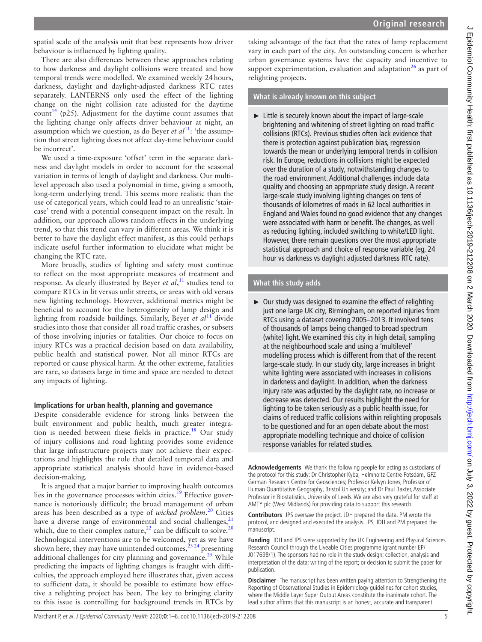spatial scale of the analysis unit that best represents how driver behaviour is influenced by lighting quality.

There are also differences between these approaches relating to how darkness and daylight collisions were treated and how temporal trends were modelled. We examined weekly 24hours, darkness, daylight and daylight-adjusted darkness RTC rates separately. LANTERNS only used the effect of the lighting change on the night collision rate adjusted for the daytime count<sup>14</sup> (p25). Adjustment for the daytime count assumes that the lighting change only affects driver behaviour at night, an assumption which we question, as do Beyer *et al*<sup>11</sup>: 'the assumption that street lighting does not affect day-time behaviour could be incorrect'.

We used a time-exposure 'offset' term in the separate darkness and daylight models in order to account for the seasonal variation in terms of length of daylight and darkness. Our multilevel approach also used a polynomial in time, giving a smooth, long-term underlying trend. This seems more realistic than the use of categorical years, which could lead to an unrealistic 'staircase' trend with a potential consequent impact on the result. In addition, our approach allows random effects in the underlying trend, so that this trend can vary in different areas. We think it is better to have the daylight effect manifest, as this could perhaps indicate useful further information to elucidate what might be changing the RTC rate.

More broadly, studies of lighting and safety must continue to reflect on the most appropriate measures of treatment and response. As clearly illustrated by Beyer *et al*, [11](#page-5-6) studies tend to compare RTCs in lit versus unlit streets, or areas with old versus new lighting technology. However, additional metrics might be beneficial to account for the heterogeneity of lamp design and lighting from roadside buildings. Similarly, Beyer *et al*[11](#page-5-6) divide studies into those that consider all road traffic crashes, or subsets of those involving injuries or fatalities. Our choice to focus on injury RTCs was a practical decision based on data availability, public health and statistical power. Not all minor RTCs are reported or cause physical harm. At the other extreme, fatalities are rare, so datasets large in time and space are needed to detect any impacts of lighting.

#### **Implications for urban health, planning and governance**

Despite considerable evidence for strong links between the built environment and public health, much greater integration is needed between these fields in practice[.18](#page-5-12) Our study of injury collisions and road lighting provides some evidence that large infrastructure projects may not achieve their expectations and highlights the role that detailed temporal data and appropriate statistical analysis should have in evidence-based decision-making.

It is argued that a major barrier to improving health outcomes lies in the governance processes within cities.<sup>19</sup> Effective governance is notoriously difficult; the broad management of urban areas has been described as a type of *wicked problem*. [20](#page-5-14) Cities have a diverse range of environmental and social challenges,<sup>[21](#page-5-15)</sup> which, due to their complex nature,<sup>[22](#page-5-16)</sup> can be difficult to solve.<sup>[20](#page-5-14)</sup> Technological interventions are to be welcomed, yet as we have shown here, they may have unintended outcomes,  $^{23\,24}$  presenting additional challenges for city planning and governance. $^{25}$  While predicting the impacts of lighting changes is fraught with difficulties, the approach employed here illustrates that, given access to sufficient data, it should be possible to estimate how effective a relighting project has been. The key to bringing clarity to this issue is controlling for background trends in RTCs by

taking advantage of the fact that the rates of lamp replacement vary in each part of the city. An outstanding concern is whether urban governance systems have the capacity and incentive to support experimentation, evaluation and adaptation<sup>[26](#page-5-19)</sup> as part of relighting projects.

## **What is already known on this subject**

► Little is securely known about the impact of large-scale brightening and whitening of street lighting on road traffic collisions (RTCs). Previous studies often lack evidence that there is protection against publication bias, regression towards the mean or underlying temporal trends in collision risk. In Europe, reductions in collisions might be expected over the duration of a study, notwithstanding changes to the road environment. Additional challenges include data quality and choosing an appropriate study design. A recent large-scale study involving lighting changes on tens of thousands of kilometres of roads in 62 local authorities in England and Wales found no good evidence that any changes were associated with harm or benefit. The changes, as well as reducing lighting, included switching to white/LED light. However, there remain questions over the most appropriate statistical approach and choice of response variable (eg, 24 hour vs darkness vs daylight adjusted darkness RTC rate).

## **What this study adds**

 $\triangleright$  Our study was designed to examine the effect of relighting just one large UK city, Birmingham, on reported injuries from RTCs using a dataset covering 2005–2013. It involved tens of thousands of lamps being changed to broad spectrum (white) light. We examined this city in high detail, sampling at the neighbourhood scale and using a 'multilevel' modelling process which is different from that of the recent large-scale study. In our study city, large increases in bright white lighting were associated with increases in collisions in darkness and daylight. In addition, when the darkness injury rate was adjusted by the daylight rate, no increase or decrease was detected. Our results highlight the need for lighting to be taken seriously as a public health issue, for claims of reduced traffic collisions within relighting proposals to be questioned and for an open debate about the most appropriate modelling technique and choice of collision response variables for related studies.

**Acknowledgements** We thank the following people for acting as custodians of the protocol for this study: Dr Christopher Kyba, Helmholtz Centre Potsdam, GFZ German Research Centre for Geosciences; Professor Kelvyn Jones, Professor of Human Quantitative Geography, Bristol University; and Dr Paul Baxter, Associate Professor in Biostatistics, University of Leeds. We are also very grateful for staff at AMEY plc (West Midlands) for providing data to support this research.

**Contributors** JPS oversaw the project. JDH prepared the data. PM wrote the protocol, and designed and executed the analysis. JPS, JDH and PM prepared the manuscript.

**Funding** JDH and JPS were supported by the UK Engineering and Physical Sciences Research Council through the Liveable Cities programme (grant number EP/ J017698/1). The sponsors had no role in the study design; collection, analysis and interpretation of the data; writing of the report; or decision to submit the paper for publication.

**Disclaimer** The manuscript has been written paying attention to Strengthening the Reporting of Observational Studies in Epidemiology guidelines for cohort studies, where the Middle Layer Super Output Areas constitute the inanimate cohort. The lead author affirms that this manuscript is an honest, accurate and transparent